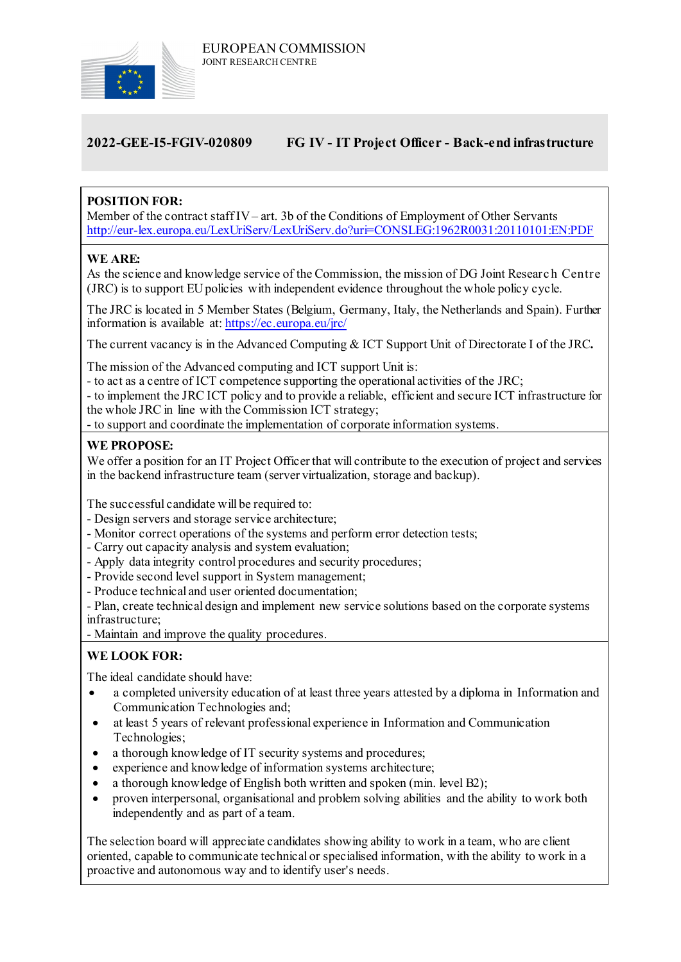

# **2022-GEE-I5-FGIV-020809 FG IV - IT Project Officer - Back-end infrastructure**

# **POSITION FOR:**

Member of the contract staff IV– art. 3b of the Conditions of Employment of Other Servants <http://eur-lex.europa.eu/LexUriServ/LexUriServ.do?uri=CONSLEG:1962R0031:20110101:EN:PDF>

## **WE ARE:**

As the science and knowledge service of the Commission, the mission of DG Joint Researc h Centre (JRC) is to support EU policies with independent evidence throughout the whole policy cycle.

The JRC is located in 5 Member States (Belgium, Germany, Italy, the Netherlands and Spain). Further information is available at: <https://ec.europa.eu/jrc/>

The current vacancy is in the Advanced Computing & ICT Support Unit of Directorate I of the JRC**.**

The mission of the Advanced computing and ICT support Unit is:

- to act as a centre of ICT competence supporting the operational activities of the JRC;

- to implement the JRC ICT policy and to provide a reliable, efficient and secure ICT infrastructure for the whole JRC in line with the Commission ICT strategy;

- to support and coordinate the implementation of corporate information systems.

#### **WE PROPOSE:**

We offer a position for an IT Project Officer that will contribute to the execution of project and services in the backend infrastructure team (server virtualization, storage and backup).

The successful candidate will be required to:

- Design servers and storage service architecture;
- Monitor correct operations of the systems and perform error detection tests;
- Carry out capacity analysis and system evaluation;
- Apply data integrity control procedures and security procedures;
- Provide second level support in System management;
- Produce technical and user oriented documentation;

- Plan, create technical design and implement new service solutions based on the corporate systems infrastructure;

- Maintain and improve the quality procedures.

# **WE LOOK FOR:**

The ideal candidate should have:

- a completed university education of at least three years attested by a diploma in Information and Communication Technologies and;
- at least 5 years of relevant professional experience in Information and Communication Technologies;
- a thorough knowledge of IT security systems and procedures;
- experience and knowledge of information systems architecture;
- a thorough knowledge of English both written and spoken (min. level B2);
- proven interpersonal, organisational and problem solving abilities and the ability to work both independently and as part of a team.

The selection board will appreciate candidates showing ability to work in a team, who are client oriented, capable to communicate technical or specialised information, with the ability to work in a proactive and autonomous way and to identify user's needs.